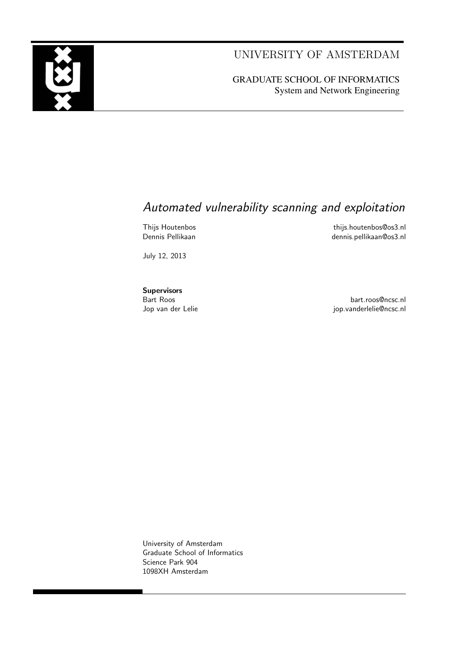UNIVERSITY OF AMSTERDAM

GRADUATE SCHOOL OF INFORMATICS System and Network Engineering

### Automated vulnerability scanning and exploitation

Thijs Houtenbos **this.houtenbos@os3.nl** Dennis Pellikaan dennis.pellikaan@os3.nl

July 12, 2013

**Supervisors** 

Bart Roos bart.roos@ncsc.nl jop.vanderlelie@ncsc.nl

University of Amsterdam Graduate School of Informatics Science Park 904 1098XH Amsterdam

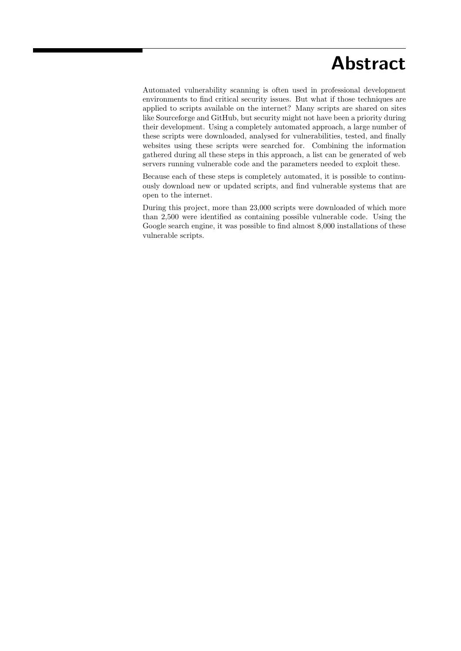### Abstract

Automated vulnerability scanning is often used in professional development environments to find critical security issues. But what if those techniques are applied to scripts available on the internet? Many scripts are shared on sites like Sourceforge and GitHub, but security might not have been a priority during their development. Using a completely automated approach, a large number of these scripts were downloaded, analysed for vulnerabilities, tested, and finally websites using these scripts were searched for. Combining the information gathered during all these steps in this approach, a list can be generated of web servers running vulnerable code and the parameters needed to exploit these.

Because each of these steps is completely automated, it is possible to continuously download new or updated scripts, and find vulnerable systems that are open to the internet.

During this project, more than 23,000 scripts were downloaded of which more than 2,500 were identified as containing possible vulnerable code. Using the Google search engine, it was possible to find almost 8,000 installations of these vulnerable scripts.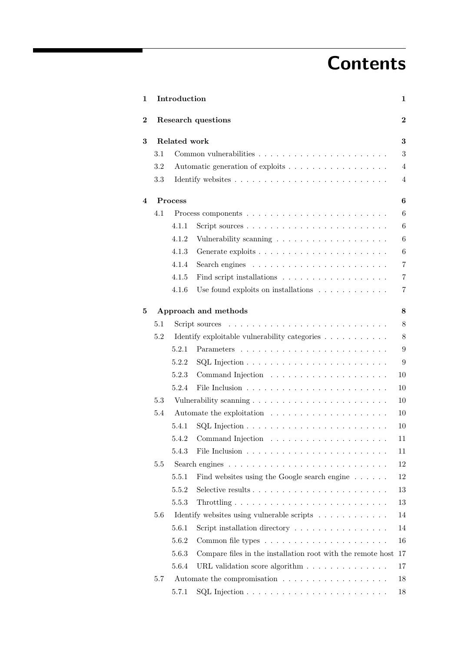# **Contents**

| 1        |     | Introduction      |                                                                                                                                   | $\mathbf 1$      |  |  |  |
|----------|-----|-------------------|-----------------------------------------------------------------------------------------------------------------------------------|------------------|--|--|--|
| $\bf{2}$ |     |                   | Research questions                                                                                                                | $\overline{2}$   |  |  |  |
| $\bf{3}$ |     | Related work<br>3 |                                                                                                                                   |                  |  |  |  |
|          | 3.1 |                   |                                                                                                                                   | 3                |  |  |  |
|          | 3.2 |                   | Automatic generation of exploits                                                                                                  | $\overline{4}$   |  |  |  |
|          | 3.3 |                   |                                                                                                                                   | $\overline{4}$   |  |  |  |
| 4        |     | <b>Process</b>    |                                                                                                                                   | $\boldsymbol{6}$ |  |  |  |
|          | 4.1 |                   |                                                                                                                                   | 6                |  |  |  |
|          |     | 4.1.1             |                                                                                                                                   | 6                |  |  |  |
|          |     | 4.1.2             |                                                                                                                                   | 6                |  |  |  |
|          |     | 4.1.3             |                                                                                                                                   | $\,6$            |  |  |  |
|          |     | 4.1.4             | Search engines $\ldots \ldots \ldots \ldots \ldots \ldots \ldots$                                                                 | $\overline{7}$   |  |  |  |
|          |     | 4.1.5             |                                                                                                                                   | $\overline{7}$   |  |  |  |
|          |     | 4.1.6             | Use found exploits on installations $\ldots \ldots \ldots \ldots$                                                                 | 7                |  |  |  |
| 5        |     |                   | Approach and methods                                                                                                              | $\bf 8$          |  |  |  |
|          | 5.1 |                   | Script sources<br>the contract of the contract of the contract of the contract of the contract of the contract of the contract of | 8                |  |  |  |
|          | 5.2 |                   | Identify exploitable vulnerability categories $.\;.\;.\;.\;.\;.\;.\;.\;.\;.\;.\;.\;$                                              | $8\,$            |  |  |  |
|          |     | 5.2.1             |                                                                                                                                   | $\boldsymbol{9}$ |  |  |  |
|          |     | 5.2.2             |                                                                                                                                   | 9                |  |  |  |
|          |     | 5.2.3             |                                                                                                                                   | 10               |  |  |  |
|          |     | 5.2.4             |                                                                                                                                   | 10               |  |  |  |
|          | 5.3 |                   |                                                                                                                                   | 10               |  |  |  |
|          | 5.4 |                   |                                                                                                                                   | 10               |  |  |  |
|          |     | 5.4.1             |                                                                                                                                   | 10               |  |  |  |
|          |     |                   |                                                                                                                                   | 11               |  |  |  |
|          |     | 5.4.3             |                                                                                                                                   | 11               |  |  |  |
|          | 5.5 |                   |                                                                                                                                   | 12               |  |  |  |
|          |     | 5.5.1             | Find websites using the Google search engine                                                                                      | 12               |  |  |  |
|          |     | 5.5.2             |                                                                                                                                   | 13               |  |  |  |
|          |     | 5.5.3             |                                                                                                                                   | 13               |  |  |  |
|          | 5.6 |                   | Identify websites using vulnerable scripts                                                                                        | 14               |  |  |  |
|          |     | 5.6.1             | Script installation directory                                                                                                     | 14               |  |  |  |
|          |     | 5.6.2             |                                                                                                                                   | 16               |  |  |  |
|          |     | 5.6.3             | Compare files in the installation root with the remote host                                                                       | 17               |  |  |  |
|          |     | 5.6.4             |                                                                                                                                   | 17               |  |  |  |
|          | 5.7 |                   |                                                                                                                                   | 18               |  |  |  |
|          |     | 5.7.1             |                                                                                                                                   | 18               |  |  |  |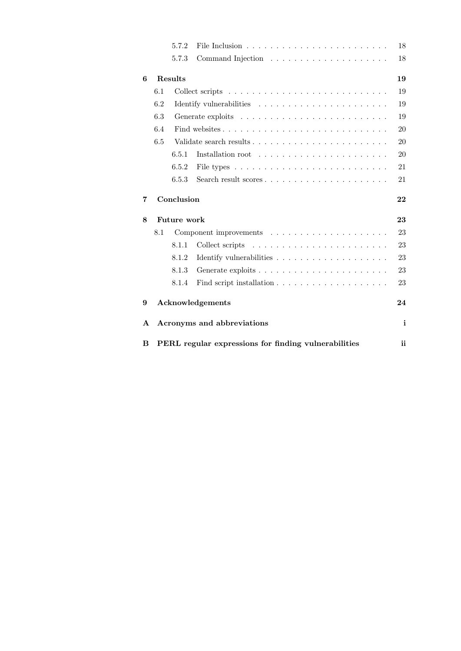|   |     | 5.7.2          |                                                                                                                                                                                                                                                                                                                                                                                                                                                                                | 18           |
|---|-----|----------------|--------------------------------------------------------------------------------------------------------------------------------------------------------------------------------------------------------------------------------------------------------------------------------------------------------------------------------------------------------------------------------------------------------------------------------------------------------------------------------|--------------|
|   |     | 5.7.3          |                                                                                                                                                                                                                                                                                                                                                                                                                                                                                | 18           |
| 6 |     | <b>Results</b> |                                                                                                                                                                                                                                                                                                                                                                                                                                                                                | 19           |
|   | 6.1 |                |                                                                                                                                                                                                                                                                                                                                                                                                                                                                                | 19           |
|   | 6.2 |                |                                                                                                                                                                                                                                                                                                                                                                                                                                                                                | 19           |
|   | 6.3 |                |                                                                                                                                                                                                                                                                                                                                                                                                                                                                                | 19           |
|   | 6.4 |                |                                                                                                                                                                                                                                                                                                                                                                                                                                                                                | 20           |
|   | 6.5 |                |                                                                                                                                                                                                                                                                                                                                                                                                                                                                                | 20           |
|   |     | 6.5.1          |                                                                                                                                                                                                                                                                                                                                                                                                                                                                                | 20           |
|   |     | 6.5.2          |                                                                                                                                                                                                                                                                                                                                                                                                                                                                                | 21           |
|   |     | 6.5.3          | Search result scores                                                                                                                                                                                                                                                                                                                                                                                                                                                           | 21           |
| 7 |     | Conclusion     |                                                                                                                                                                                                                                                                                                                                                                                                                                                                                | 22           |
|   |     |                |                                                                                                                                                                                                                                                                                                                                                                                                                                                                                |              |
| 8 |     | Future work    |                                                                                                                                                                                                                                                                                                                                                                                                                                                                                | 23           |
|   | 8.1 |                |                                                                                                                                                                                                                                                                                                                                                                                                                                                                                | 23           |
|   |     | 8.1.1          | Collect scripts<br>$\mathcal{L}(\mathcal{L}(\mathcal{L},\mathcal{L},\mathcal{L},\mathcal{L},\mathcal{L},\mathcal{L},\mathcal{L},\mathcal{L},\mathcal{L},\mathcal{L},\mathcal{L},\mathcal{L},\mathcal{L},\mathcal{L},\mathcal{L},\mathcal{L},\mathcal{L},\mathcal{L},\mathcal{L},\mathcal{L},\mathcal{L},\mathcal{L},\mathcal{L},\mathcal{L},\mathcal{L},\mathcal{L},\mathcal{L},\mathcal{L},\mathcal{L},\mathcal{L},\mathcal{L},\mathcal{L},\mathcal{L},\mathcal{L},\mathcal{$ | 23           |
|   |     | 8.1.2          |                                                                                                                                                                                                                                                                                                                                                                                                                                                                                | 23           |
|   |     | 8.1.3          |                                                                                                                                                                                                                                                                                                                                                                                                                                                                                | 23           |
|   |     | 8.1.4          |                                                                                                                                                                                                                                                                                                                                                                                                                                                                                | 23           |
| 9 |     |                | Acknowledgements                                                                                                                                                                                                                                                                                                                                                                                                                                                               | 24           |
| A |     |                | Acronyms and abbreviations                                                                                                                                                                                                                                                                                                                                                                                                                                                     | $\mathbf{i}$ |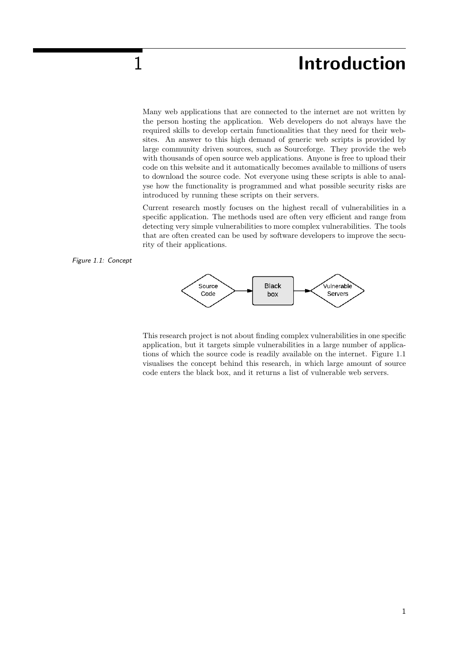## 1 **Introduction**

Many web applications that are connected to the internet are not written by the person hosting the application. Web developers do not always have the required skills to develop certain functionalities that they need for their websites. An answer to this high demand of generic web scripts is provided by large community driven sources, such as Sourceforge. They provide the web with thousands of open source web applications. Anyone is free to upload their code on this website and it automatically becomes available to millions of users to download the source code. Not everyone using these scripts is able to analyse how the functionality is programmed and what possible security risks are introduced by running these scripts on their servers.

Current research mostly focuses on the highest recall of vulnerabilities in a specific application. The methods used are often very efficient and range from detecting very simple vulnerabilities to more complex vulnerabilities. The tools that are often created can be used by software developers to improve the security of their applications.





This research project is not about finding complex vulnerabilities in one specific application, but it targets simple vulnerabilities in a large number of applications of which the source code is readily available on the internet. Figure 1.1 visualises the concept behind this research, in which large amount of source code enters the black box, and it returns a list of vulnerable web servers.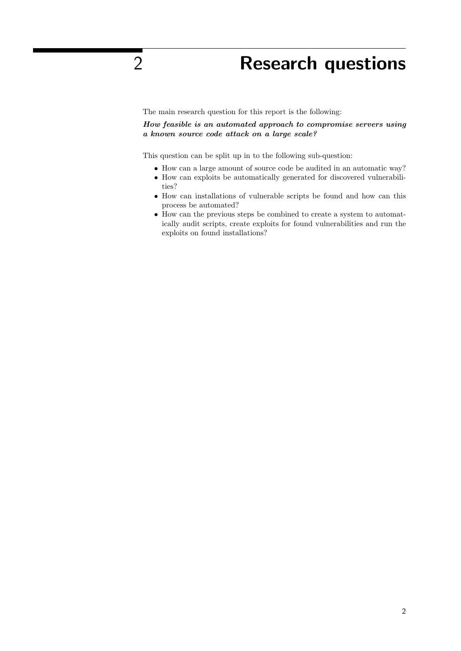# 2 Research questions

The main research question for this report is the following:

How feasible is an automated approach to compromise servers using a known source code attack on a large scale?

This question can be split up in to the following sub-question:

- How can a large amount of source code be audited in an automatic way?
- How can exploits be automatically generated for discovered vulnerabilities?
- How can installations of vulnerable scripts be found and how can this process be automated?
- How can the previous steps be combined to create a system to automatically audit scripts, create exploits for found vulnerabilities and run the exploits on found installations?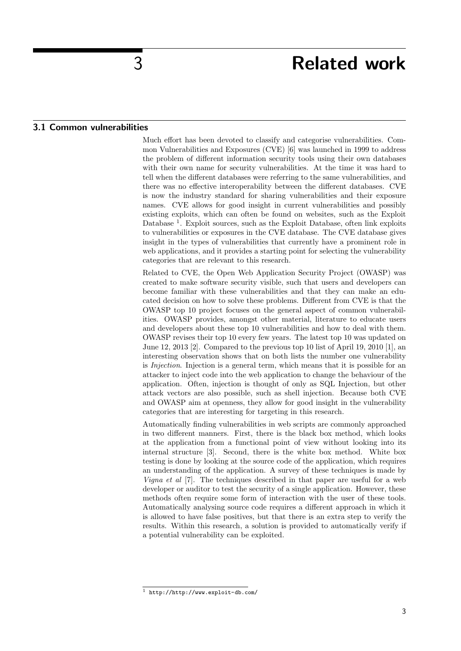### 3 Related work

#### 3.1 Common vulnerabilities

Much effort has been devoted to classify and categorise vulnerabilities. Common Vulnerabilities and Exposures (CVE) [6] was launched in 1999 to address the problem of different information security tools using their own databases with their own name for security vulnerabilities. At the time it was hard to tell when the different databases were referring to the same vulnerabilities, and there was no effective interoperability between the different databases. CVE is now the industry standard for sharing vulnerabilities and their exposure names. CVE allows for good insight in current vulnerabilities and possibly existing exploits, which can often be found on websites, such as the Exploit Database<sup>1</sup>. Exploit sources, such as the Exploit Database, often link exploits to vulnerabilities or exposures in the CVE database. The CVE database gives insight in the types of vulnerabilities that currently have a prominent role in web applications, and it provides a starting point for selecting the vulnerability categories that are relevant to this research.

Related to CVE, the Open Web Application Security Project (OWASP) was created to make software security visible, such that users and developers can become familiar with these vulnerabilities and that they can make an educated decision on how to solve these problems. Different from CVE is that the OWASP top 10 project focuses on the general aspect of common vulnerabilities. OWASP provides, amongst other material, literature to educate users and developers about these top 10 vulnerabilities and how to deal with them. OWASP revises their top 10 every few years. The latest top 10 was updated on June 12, 2013 [2]. Compared to the previous top 10 list of April 19, 2010 [1], an interesting observation shows that on both lists the number one vulnerability is *Injection*. Injection is a general term, which means that it is possible for an attacker to inject code into the web application to change the behaviour of the application. Often, injection is thought of only as SQL Injection, but other attack vectors are also possible, such as shell injection. Because both CVE and OWASP aim at openness, they allow for good insight in the vulnerability categories that are interesting for targeting in this research.

Automatically finding vulnerabilities in web scripts are commonly approached in two different manners. First, there is the black box method, which looks at the application from a functional point of view without looking into its internal structure [3]. Second, there is the white box method. White box testing is done by looking at the source code of the application, which requires an understanding of the application. A survey of these techniques is made by Vigna et al [7]. The techniques described in that paper are useful for a web developer or auditor to test the security of a single application. However, these methods often require some form of interaction with the user of these tools. Automatically analysing source code requires a different approach in which it is allowed to have false positives, but that there is an extra step to verify the results. Within this research, a solution is provided to automatically verify if a potential vulnerability can be exploited.

<sup>1</sup> http://http://www.exploit-db.com/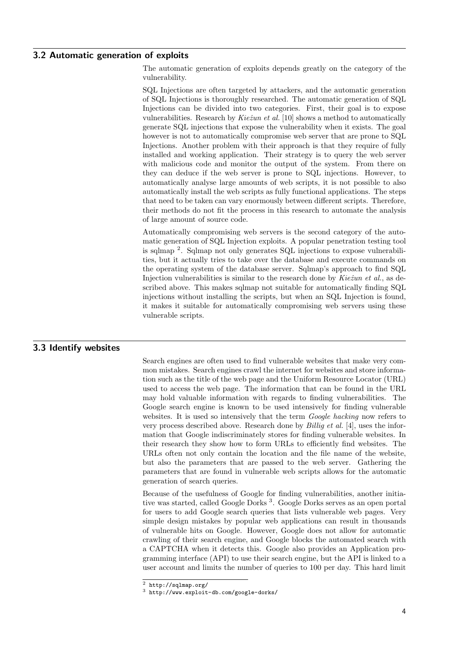### 3.2 Automatic generation of exploits

The automatic generation of exploits depends greatly on the category of the vulnerability.

SQL Injections are often targeted by attackers, and the automatic generation of SQL Injections is thoroughly researched. The automatic generation of SQL Injections can be divided into two categories. First, their goal is to expose vulnerabilities. Research by Kie $\dot{z}$ un et al. [10] shows a method to automatically generate SQL injections that expose the vulnerability when it exists. The goal however is not to automatically compromise web server that are prone to SQL Injections. Another problem with their approach is that they require of fully installed and working application. Their strategy is to query the web server with malicious code and monitor the output of the system. From there on they can deduce if the web server is prone to SQL injections. However, to automatically analyse large amounts of web scripts, it is not possible to also automatically install the web scripts as fully functional applications. The steps that need to be taken can vary enormously between different scripts. Therefore, their methods do not fit the process in this research to automate the analysis of large amount of source code.

Automatically compromising web servers is the second category of the automatic generation of SQL Injection exploits. A popular penetration testing tool is sqlmap <sup>2</sup> . Sqlmap not only generates SQL injections to expose vulnerabilities, but it actually tries to take over the database and execute commands on the operating system of the database server. Sqlmap's approach to find SQL Injection vulnerabilities is similar to the research done by  $Kie\zeta$  et al., as described above. This makes sqlmap not suitable for automatically finding SQL injections without installing the scripts, but when an SQL Injection is found, it makes it suitable for automatically compromising web servers using these vulnerable scripts.

#### 3.3 Identify websites

Search engines are often used to find vulnerable websites that make very common mistakes. Search engines crawl the internet for websites and store information such as the title of the web page and the Uniform Resource Locator (URL) used to access the web page. The information that can be found in the URL may hold valuable information with regards to finding vulnerabilities. The Google search engine is known to be used intensively for finding vulnerable websites. It is used so intensively that the term *Google hacking* now refers to very process described above. Research done by  $Billiq et al. [4]$ , uses the information that Google indiscriminately stores for finding vulnerable websites. In their research they show how to form URLs to efficiently find websites. The URLs often not only contain the location and the file name of the website, but also the parameters that are passed to the web server. Gathering the parameters that are found in vulnerable web scripts allows for the automatic generation of search queries.

Because of the usefulness of Google for finding vulnerabilities, another initiative was started, called Google Dorks<sup>3</sup>. Google Dorks serves as an open portal for users to add Google search queries that lists vulnerable web pages. Very simple design mistakes by popular web applications can result in thousands of vulnerable hits on Google. However, Google does not allow for automatic crawling of their search engine, and Google blocks the automated search with a CAPTCHA when it detects this. Google also provides an Application programming interface (API) to use their search engine, but the API is linked to a user account and limits the number of queries to 100 per day. This hard limit

<sup>2</sup> http://sqlmap.org/

<sup>3</sup> http://www.exploit-db.com/google-dorks/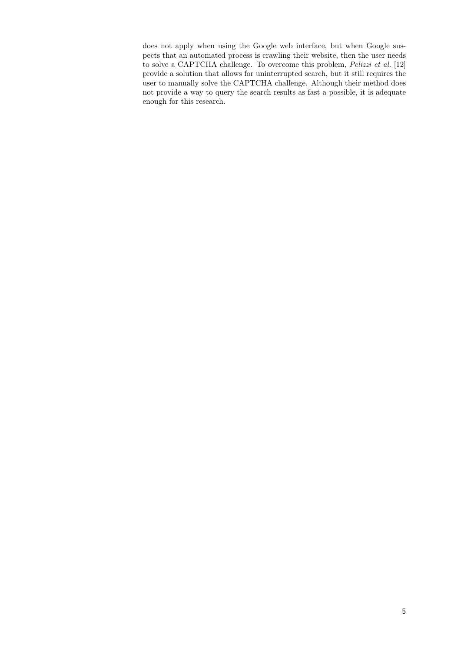does not apply when using the Google web interface, but when Google suspects that an automated process is crawling their website, then the user needs to solve a CAPTCHA challenge. To overcome this problem, Pelizzi et al. [12] provide a solution that allows for uninterrupted search, but it still requires the user to manually solve the CAPTCHA challenge. Although their method does not provide a way to query the search results as fast a possible, it is adequate enough for this research.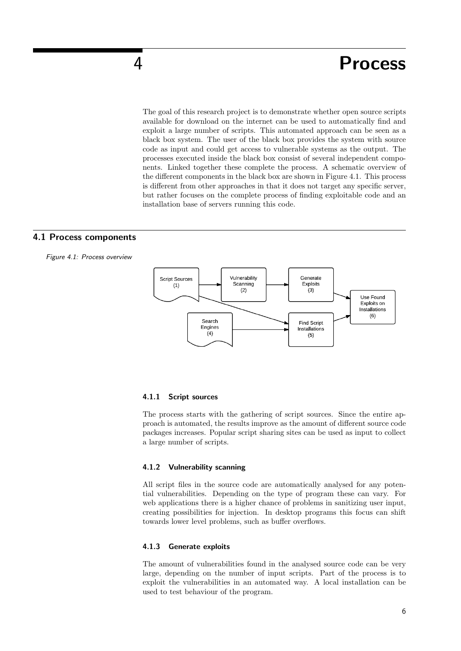### 4 Process

The goal of this research project is to demonstrate whether open source scripts available for download on the internet can be used to automatically find and exploit a large number of scripts. This automated approach can be seen as a black box system. The user of the black box provides the system with source code as input and could get access to vulnerable systems as the output. The processes executed inside the black box consist of several independent components. Linked together these complete the process. A schematic overview of the different components in the black box are shown in Figure 4.1. This process is different from other approaches in that it does not target any specific server, but rather focuses on the complete process of finding exploitable code and an installation base of servers running this code.

#### 4.1 Process components





#### 4.1.1 Script sources

The process starts with the gathering of script sources. Since the entire approach is automated, the results improve as the amount of different source code packages increases. Popular script sharing sites can be used as input to collect a large number of scripts.

#### 4.1.2 Vulnerability scanning

All script files in the source code are automatically analysed for any potential vulnerabilities. Depending on the type of program these can vary. For web applications there is a higher chance of problems in sanitizing user input, creating possibilities for injection. In desktop programs this focus can shift towards lower level problems, such as buffer overflows.

#### 4.1.3 Generate exploits

The amount of vulnerabilities found in the analysed source code can be very large, depending on the number of input scripts. Part of the process is to exploit the vulnerabilities in an automated way. A local installation can be used to test behaviour of the program.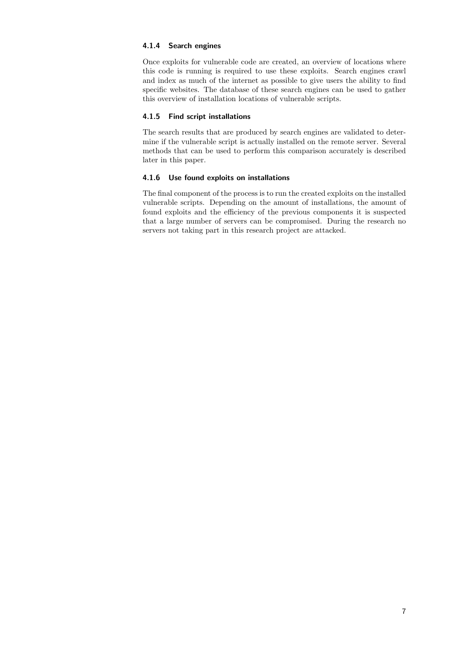#### 4.1.4 Search engines

Once exploits for vulnerable code are created, an overview of locations where this code is running is required to use these exploits. Search engines crawl and index as much of the internet as possible to give users the ability to find specific websites. The database of these search engines can be used to gather this overview of installation locations of vulnerable scripts.

#### 4.1.5 Find script installations

The search results that are produced by search engines are validated to determine if the vulnerable script is actually installed on the remote server. Several methods that can be used to perform this comparison accurately is described later in this paper.

#### 4.1.6 Use found exploits on installations

The final component of the process is to run the created exploits on the installed vulnerable scripts. Depending on the amount of installations, the amount of found exploits and the efficiency of the previous components it is suspected that a large number of servers can be compromised. During the research no servers not taking part in this research project are attacked.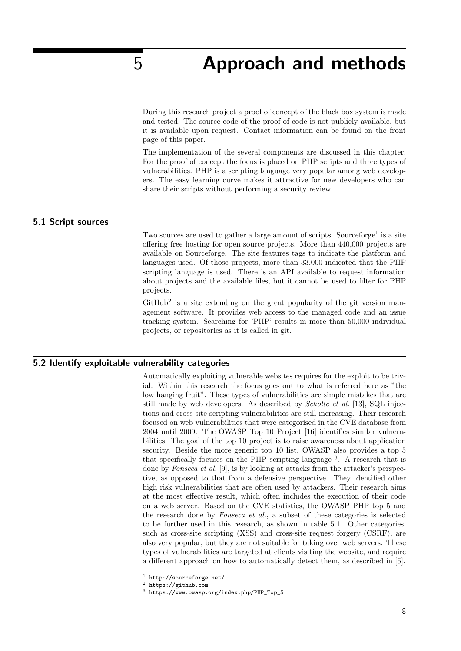### 5 Approach and methods

During this research project a proof of concept of the black box system is made and tested. The source code of the proof of code is not publicly available, but it is available upon request. Contact information can be found on the front page of this paper.

The implementation of the several components are discussed in this chapter. For the proof of concept the focus is placed on PHP scripts and three types of vulnerabilities. PHP is a scripting language very popular among web developers. The easy learning curve makes it attractive for new developers who can share their scripts without performing a security review.

#### 5.1 Script sources

Two sources are used to gather a large amount of scripts. Sourceforge<sup>1</sup> is a site offering free hosting for open source projects. More than 440,000 projects are available on Sourceforge. The site features tags to indicate the platform and languages used. Of those projects, more than 33,000 indicated that the PHP scripting language is used. There is an API available to request information about projects and the available files, but it cannot be used to filter for PHP projects.

 $G$ itHub<sup>2</sup> is a site extending on the great popularity of the git version management software. It provides web access to the managed code and an issue tracking system. Searching for 'PHP' results in more than 50,000 individual projects, or repositories as it is called in git.

#### 5.2 Identify exploitable vulnerability categories

Automatically exploiting vulnerable websites requires for the exploit to be trivial. Within this research the focus goes out to what is referred here as "the low hanging fruit". These types of vulnerabilities are simple mistakes that are still made by web developers. As described by Scholte et al. [13], SQL injections and cross-site scripting vulnerabilities are still increasing. Their research focused on web vulnerabilities that were categorised in the CVE database from 2004 until 2009. The OWASP Top 10 Project [16] identifies similar vulnerabilities. The goal of the top 10 project is to raise awareness about application security. Beside the more generic top 10 list, OWASP also provides a top 5 that specifically focuses on the PHP scripting language  $3$ . A research that is done by Fonseca et al. [9], is by looking at attacks from the attacker's perspective, as opposed to that from a defensive perspective. They identified other high risk vulnerabilities that are often used by attackers. Their research aims at the most effective result, which often includes the execution of their code on a web server. Based on the CVE statistics, the OWASP PHP top 5 and the research done by Fonseca et al., a subset of these categories is selected to be further used in this research, as shown in table 5.1. Other categories, such as cross-site scripting (XSS) and cross-site request forgery (CSRF), are also very popular, but they are not suitable for taking over web servers. These types of vulnerabilities are targeted at clients visiting the website, and require a different approach on how to automatically detect them, as described in [5].

<sup>1</sup> http://sourceforge.net/

<sup>2</sup> https://github.com

<sup>3</sup> https://www.owasp.org/index.php/PHP\_Top\_5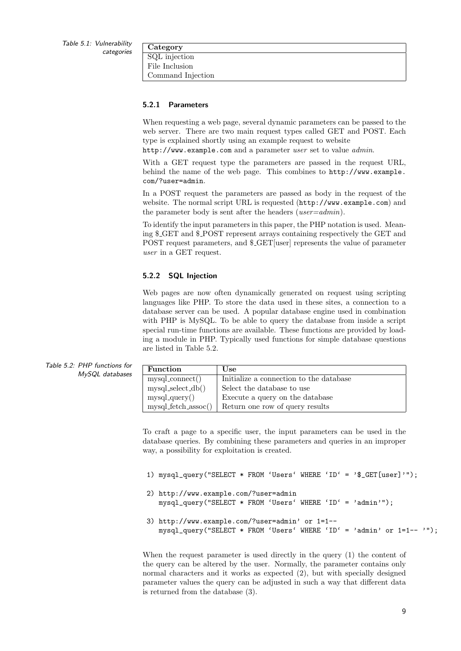| Category          |  |
|-------------------|--|
| SQL injection     |  |
| File Inclusion    |  |
| Command Injection |  |

#### 5.2.1 Parameters

When requesting a web page, several dynamic parameters can be passed to the web server. There are two main request types called GET and POST. Each type is explained shortly using an example request to website

http://www.example.com and a parameter user set to value *admin*.

With a GET request type the parameters are passed in the request URL, behind the name of the web page. This combines to http://www.example. com/?user=admin.

In a POST request the parameters are passed as body in the request of the website. The normal script URL is requested (http://www.example.com) and the parameter body is sent after the headers (*user=admin*).

To identify the input parameters in this paper, the PHP notation is used. Meaning \$ GET and \$ POST represent arrays containing respectively the GET and POST request parameters, and  $\mathcal{L}$ GET [user] represents the value of parameter user in a GET request.

#### 5.2.2 SQL Injection

Web pages are now often dynamically generated on request using scripting languages like PHP. To store the data used in these sites, a connection to a database server can be used. A popular database engine used in combination with PHP is MySQL. To be able to query the database from inside a script special run-time functions are available. These functions are provided by loading a module in PHP. Typically used functions for simple database questions are listed in Table 5.2.

| ıs tor<br>bases | <b>Function</b>                 | Use                                     |
|-----------------|---------------------------------|-----------------------------------------|
|                 | $my\text{sql} \text{connect}()$ | Initialize a connection to the database |
|                 | $mysql\_select\_db()$           | Select the database to use              |
|                 | $my\text{sqLquery}()$           | Execute a query on the database         |
|                 | $mysql_f etch_$ assoc $()$      | Return one row of query results         |

To craft a page to a specific user, the input parameters can be used in the database queries. By combining these parameters and queries in an improper way, a possibility for exploitation is created.

- 1) mysql\_query("SELECT \* FROM 'Users' WHERE 'ID' = '\$\_GET[user]'");
- 2) http://www.example.com/?user=admin mysql\_query("SELECT \* FROM 'Users' WHERE 'ID' = 'admin'");
- 3) http://www.example.com/?user=admin' or 1=1- mysql\_query("SELECT \* FROM 'Users' WHERE 'ID' = 'admin' or 1=1-- '");

When the request parameter is used directly in the query (1) the content of the query can be altered by the user. Normally, the parameter contains only normal characters and it works as expected (2), but with specially designed parameter values the query can be adjusted in such a way that different data is returned from the database (3).

Table 5.2: PHP function MySQL datal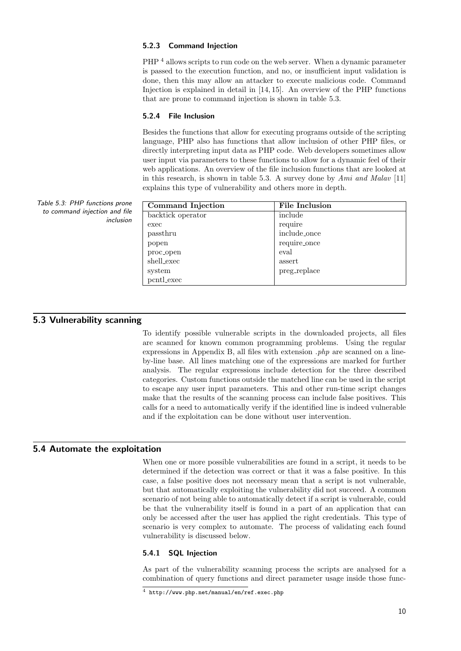#### 5.2.3 Command Injection

PHP <sup>4</sup> allows scripts to run code on the web server. When a dynamic parameter is passed to the execution function, and no, or insufficient input validation is done, then this may allow an attacker to execute malicious code. Command Injection is explained in detail in [14, 15]. An overview of the PHP functions that are prone to command injection is shown in table 5.3.

#### 5.2.4 File Inclusion

Besides the functions that allow for executing programs outside of the scripting language, PHP also has functions that allow inclusion of other PHP files, or directly interpreting input data as PHP code. Web developers sometimes allow user input via parameters to these functions to allow for a dynamic feel of their web applications. An overview of the file inclusion functions that are looked at in this research, is shown in table 5.3. A survey done by Ami and Malav [11] explains this type of vulnerability and others more in depth.

| Command Injection | File Inclusion |
|-------------------|----------------|
| backtick operator | include        |
| exec              | require        |
| passthru          | include_once   |
| popen             | require_once   |
| proc_open         | eval           |
| shell_exec        | assert         |
| system            | preg_replace   |
| pcntl_exec        |                |

Table 5.3: PHP functions prone to command injection and file

inclusion

### 5.3 Vulnerability scanning

To identify possible vulnerable scripts in the downloaded projects, all files are scanned for known common programming problems. Using the regular expressions in Appendix B, all files with extension  $.php$  are scanned on a lineby-line base. All lines matching one of the expressions are marked for further analysis. The regular expressions include detection for the three described categories. Custom functions outside the matched line can be used in the script to escape any user input parameters. This and other run-time script changes make that the results of the scanning process can include false positives. This calls for a need to automatically verify if the identified line is indeed vulnerable and if the exploitation can be done without user intervention.

#### 5.4 Automate the exploitation

When one or more possible vulnerabilities are found in a script, it needs to be determined if the detection was correct or that it was a false positive. In this case, a false positive does not necessary mean that a script is not vulnerable, but that automatically exploiting the vulnerability did not succeed. A common scenario of not being able to automatically detect if a script is vulnerable, could be that the vulnerability itself is found in a part of an application that can only be accessed after the user has applied the right credentials. This type of scenario is very complex to automate. The process of validating each found vulnerability is discussed below.

#### 5.4.1 SQL Injection

As part of the vulnerability scanning process the scripts are analysed for a combination of query functions and direct parameter usage inside those func-

<sup>4</sup> http://www.php.net/manual/en/ref.exec.php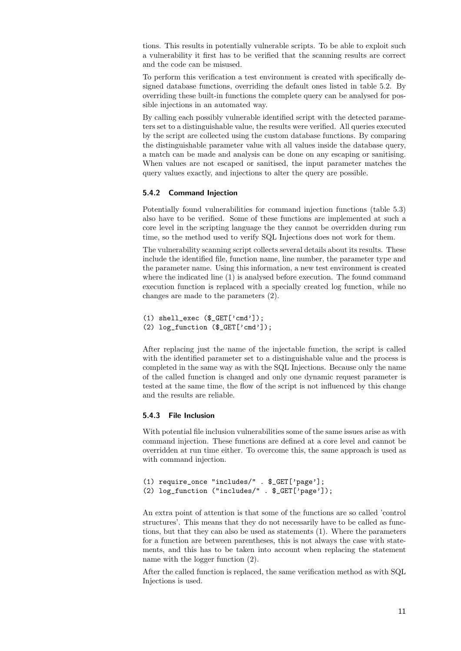tions. This results in potentially vulnerable scripts. To be able to exploit such a vulnerability it first has to be verified that the scanning results are correct and the code can be misused.

To perform this verification a test environment is created with specifically designed database functions, overriding the default ones listed in table 5.2. By overriding these built-in functions the complete query can be analysed for possible injections in an automated way.

By calling each possibly vulnerable identified script with the detected parameters set to a distinguishable value, the results were verified. All queries executed by the script are collected using the custom database functions. By comparing the distinguishable parameter value with all values inside the database query, a match can be made and analysis can be done on any escaping or sanitising. When values are not escaped or sanitised, the input parameter matches the query values exactly, and injections to alter the query are possible.

#### 5.4.2 Command Injection

Potentially found vulnerabilities for command injection functions (table 5.3) also have to be verified. Some of these functions are implemented at such a core level in the scripting language the they cannot be overridden during run time, so the method used to verify SQL Injections does not work for them.

The vulnerability scanning script collects several details about its results. These include the identified file, function name, line number, the parameter type and the parameter name. Using this information, a new test environment is created where the indicated line (1) is analysed before execution. The found command execution function is replaced with a specially created log function, while no changes are made to the parameters (2).

```
(1) shell_exec ($_GET['cmd']);
(2) log_function ($_GET['cmd']);
```
After replacing just the name of the injectable function, the script is called with the identified parameter set to a distinguishable value and the process is completed in the same way as with the SQL Injections. Because only the name of the called function is changed and only one dynamic request parameter is tested at the same time, the flow of the script is not influenced by this change and the results are reliable.

#### 5.4.3 File Inclusion

With potential file inclusion vulnerabilities some of the same issues arise as with command injection. These functions are defined at a core level and cannot be overridden at run time either. To overcome this, the same approach is used as with command injection.

```
(1) require_once "includes/" . $_GET['page'];
(2) log_function ("includes/" . $_GET['page']);
```
An extra point of attention is that some of the functions are so called 'control structures'. This means that they do not necessarily have to be called as functions, but that they can also be used as statements (1). Where the parameters for a function are between parentheses, this is not always the case with statements, and this has to be taken into account when replacing the statement name with the logger function (2).

After the called function is replaced, the same verification method as with SQL Injections is used.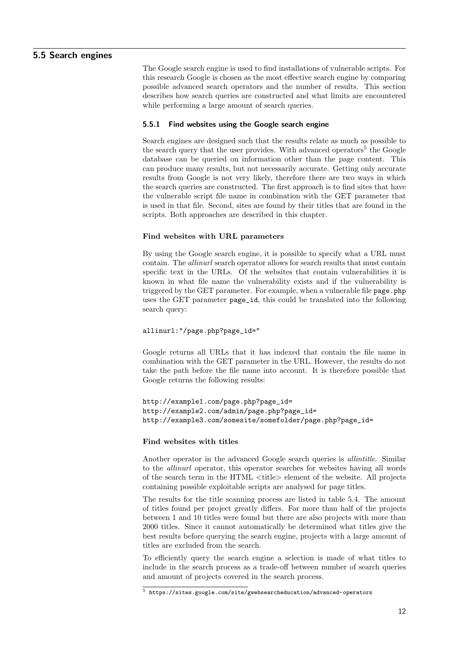#### 5.5 Search engines

The Google search engine is used to find installations of vulnerable scripts. For this research Google is chosen as the most effective search engine by comparing possible advanced search operators and the number of results. This section describes how search queries are constructed and what limits are encountered while performing a large amount of search queries.

#### 5.5.1 Find websites using the Google search engine

Search engines are designed such that the results relate as much as possible to the search query that the user provides. With advanced operators<sup>5</sup> the Google database can be queried on information other than the page content. This can produce many results, but not necessarily accurate. Getting only accurate results from Google is not very likely, therefore there are two ways in which the search queries are constructed. The first approach is to find sites that have the vulnerable script file name in combination with the GET parameter that is used in that file. Second, sites are found by their titles that are found in the scripts. Both approaches are described in this chapter.

#### Find websites with URL parameters

By using the Google search engine, it is possible to specify what a URL must contain. The allinurl search operator allows for search results that must contain specific text in the URLs. Of the websites that contain vulnerabilities it is known in what file name the vulnerability exists and if the vulnerability is triggered by the GET parameter. For example, when a vulnerable file page.php uses the GET parameter page\_id, this could be translated into the following search query:

allinurl:"/page.php?page\_id="

Google returns all URLs that it has indexed that contain the file name in combination with the GET parameter in the URL. However, the results do not take the path before the file name into account. It is therefore possible that Google returns the following results:

```
http://example1.com/page.php?page_id=
http://example2.com/admin/page.php?page_id=
http://example3.com/somesite/somefolder/page.php?page_id=
```
#### Find websites with titles

Another operator in the advanced Google search queries is allintitle. Similar to the allinurl operator, this operator searches for websites having all words of the search term in the HTML <title> element of the website. All projects containing possible exploitable scripts are analysed for page titles.

The results for the title scanning process are listed in table 5.4. The amount of titles found per project greatly differs. For more than half of the projects between 1 and 10 titles were found but there are also projects with more than 2000 titles. Since it cannot automatically be determined what titles give the best results before querying the search engine, projects with a large amount of titles are excluded from the search.

To efficiently query the search engine a selection is made of what titles to include in the search process as a trade-off between number of search queries and amount of projects covered in the search process.

<sup>5</sup> https://sites.google.com/site/gwebsearcheducation/advanced-operators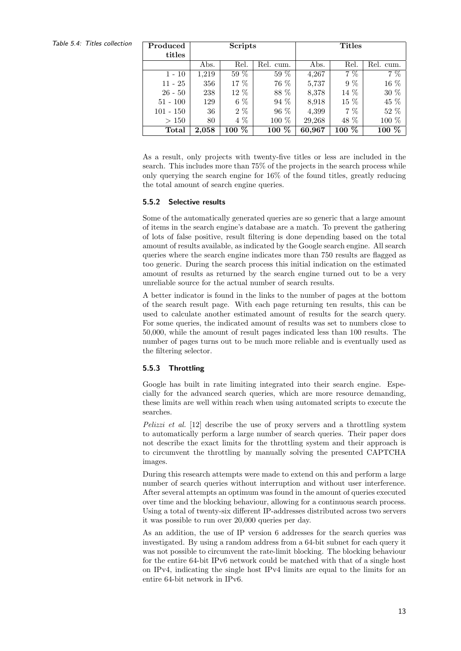Table 5.4: Titles collection

| Produced    | <b>Scripts</b> |         |           | <b>Titles</b> |          |           |  |
|-------------|----------------|---------|-----------|---------------|----------|-----------|--|
| titles      |                |         |           |               |          |           |  |
|             | Abs.           | Rel.    | Rel. cum. | Abs.          | Rel.     | Rel. cum. |  |
| $1 - 10$    | 1,219          | 59 %    | 59 %      | 4,267         | $7\%$    | $7\%$     |  |
| $11 - 25$   | 356            | 17 %    | 76 %      | 5,737         | $9\%$    | 16 %      |  |
| $26 - 50$   | 238            | 12 %    | 88 %      | 8,378         | 14 %     | 30 %      |  |
| $51 - 100$  | 129            | $6\%$   | 94 %      | 8,918         | 15 %     | 45 %      |  |
| $101 - 150$ | 36             | $2\%$   | 96 %      | 4,399         | $7\%$    | $52\%$    |  |
| >150        | 80             | 4 %     | 100 %     | 29,268        | 48 %     | 100 %     |  |
| Total       | 2.058          | $100\%$ | 100 %     | 60,967        | %<br>100 | $100\%$   |  |

As a result, only projects with twenty-five titles or less are included in the search. This includes more than 75% of the projects in the search process while only querying the search engine for 16% of the found titles, greatly reducing the total amount of search engine queries.

#### 5.5.2 Selective results

Some of the automatically generated queries are so generic that a large amount of items in the search engine's database are a match. To prevent the gathering of lots of false positive, result filtering is done depending based on the total amount of results available, as indicated by the Google search engine. All search queries where the search engine indicates more than 750 results are flagged as too generic. During the search process this initial indication on the estimated amount of results as returned by the search engine turned out to be a very unreliable source for the actual number of search results.

A better indicator is found in the links to the number of pages at the bottom of the search result page. With each page returning ten results, this can be used to calculate another estimated amount of results for the search query. For some queries, the indicated amount of results was set to numbers close to 50,000, while the amount of result pages indicated less than 100 results. The number of pages turns out to be much more reliable and is eventually used as the filtering selector.

#### 5.5.3 Throttling

Google has built in rate limiting integrated into their search engine. Especially for the advanced search queries, which are more resource demanding, these limits are well within reach when using automated scripts to execute the searches.

Pelizzi et al. [12] describe the use of proxy servers and a throttling system to automatically perform a large number of search queries. Their paper does not describe the exact limits for the throttling system and their approach is to circumvent the throttling by manually solving the presented CAPTCHA images.

During this research attempts were made to extend on this and perform a large number of search queries without interruption and without user interference. After several attempts an optimum was found in the amount of queries executed over time and the blocking behaviour, allowing for a continuous search process. Using a total of twenty-six different IP-addresses distributed across two servers it was possible to run over 20,000 queries per day.

As an addition, the use of IP version 6 addresses for the search queries was investigated. By using a random address from a 64-bit subnet for each query it was not possible to circumvent the rate-limit blocking. The blocking behaviour for the entire 64-bit IPv6 network could be matched with that of a single host on IPv4, indicating the single host IPv4 limits are equal to the limits for an entire 64-bit network in IPv6.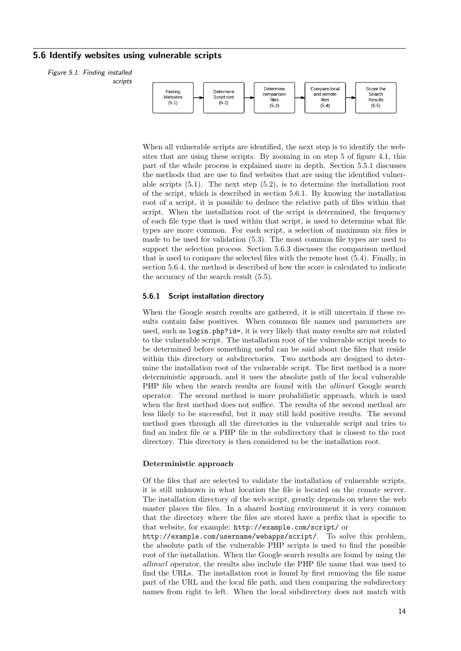#### 5.6 Identify websites using vulnerable scripts

Figure 5.1: Finding installed scripts



When all vulnerable scripts are identified, the next step is to identify the websites that are using these scripts. By zooming in on step 5 of figure 4.1, this part of the whole process is explained more in depth. Section 5.5.1 discusses the methods that are use to find websites that are using the identified vulnerable scripts  $(5.1)$ . The next step  $(5.2)$ , is to determine the installation root of the script, which is described in section 5.6.1. By knowing the installation root of a script, it is possible to deduce the relative path of files within that script. When the installation root of the script is determined, the frequency of each file type that is used within that script, is used to determine what file types are more common. For each script, a selection of maximum six files is made to be used for validation (5.3). The most common file types are used to support the selection process. Section 5.6.3 discusses the comparison method that is used to compare the selected files with the remote host (5.4). Finally, in section 5.6.4, the method is described of how the score is calculated to indicate the accuracy of the search result (5.5).

#### 5.6.1 Script installation directory

When the Google search results are gathered, it is still uncertain if these results contain false positives. When common file names and parameters are used, such as login.php?id=, it is very likely that many results are not related to the vulnerable script. The installation root of the vulnerable script needs to be determined before something useful can be said about the files that reside within this directory or subdirectories. Two methods are designed to determine the installation root of the vulnerable script. The first method is a more deterministic approach, and it uses the absolute path of the local vulnerable PHP file when the search results are found with the *allinurl* Google search operator. The second method is more probabilistic approach, which is used when the first method does not suffice. The results of the second method are less likely to be successful, but it may still hold positive results. The second method goes through all the directories in the vulnerable script and tries to find an index file or a PHP file in the subdirectory that is closest to the root directory. This directory is then considered to be the installation root.

#### Deterministic approach

Of the files that are selected to validate the installation of vulnerable scripts, it is still unknown in what location the file is located on the remote server. The installation directory of the web script, greatly depends on where the web master places the files. In a shared hosting environment it is very common that the directory where the files are stored have a prefix that is specific to that website, for example: http://example.com/script/ or

http://example.com/username/webapps/script/. To solve this problem, the absolute path of the vulnerable PHP scripts is used to find the possible root of the installation. When the Google search results are found by using the allinurl operator, the results also include the PHP file name that was used to find the URLs. The installation root is found by first removing the file name part of the URL and the local file path, and then comparing the subdirectory names from right to left. When the local subdirectory does not match with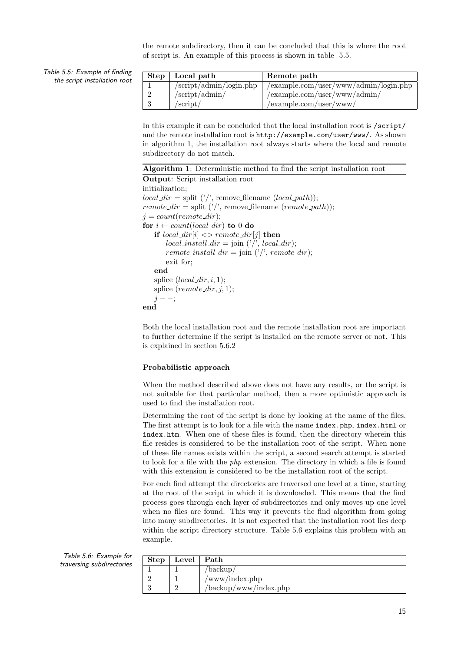the remote subdirectory, then it can be concluded that this is where the root of script is. An example of this process is shown in table 5.5.

Table 5.5: Example of finding the script installation root

| Step   Local path                              | Remote path                              |
|------------------------------------------------|------------------------------------------|
| $\sqrt{\text{script}/\text{admin}}$ /login.php | $/$ example.com/user/www/admin/login.php |
| /script/admin/                                 | $/$ example.com/user/www/admin/          |
| $/$ script $/$                                 | $/$ example.com/user/www/                |

In this example it can be concluded that the local installation root is /script/ and the remote installation root is http://example.com/user/www/. As shown in algorithm 1, the installation root always starts where the local and remote subdirectory do not match.

|  |  | Algorithm 1: Deterministic method to find the script installation root |  |  |  |  |  |  |  |
|--|--|------------------------------------------------------------------------|--|--|--|--|--|--|--|
|--|--|------------------------------------------------------------------------|--|--|--|--|--|--|--|

Output: Script installation root initialization;  $local\_dir = split ($ '', remove\_filename  $(local\_path)$ );  $remote\_dir = split (')', remove\_filename (remote\_path));$  $j = count(remote\_dir);$ for  $i \leftarrow count(local\_dir)$  to 0 do if  $local\_dir[i] \iff remote\_dir[j]$  then  $local\_install\_dir = join ('/', local\_dir);$ remote\_install\_dir = join  $(')'$ , remote\_dir); exit for; end splice  $(local\_dir, i, 1);$ splice  $(remote\_dir, j, 1);$  $j - -$ ; end

Both the local installation root and the remote installation root are important to further determine if the script is installed on the remote server or not. This is explained in section 5.6.2

#### Probabilistic approach

When the method described above does not have any results, or the script is not suitable for that particular method, then a more optimistic approach is used to find the installation root.

Determining the root of the script is done by looking at the name of the files. The first attempt is to look for a file with the name index.php, index.html or index.htm. When one of these files is found, then the directory wherein this file resides is considered to be the installation root of the script. When none of these file names exists within the script, a second search attempt is started to look for a file with the *php* extension. The directory in which a file is found with this extension is considered to be the installation root of the script.

For each find attempt the directories are traversed one level at a time, starting at the root of the script in which it is downloaded. This means that the find process goes through each layer of subdirectories and only moves up one level when no files are found. This way it prevents the find algorithm from going into many subdirectories. It is not expected that the installation root lies deep within the script directory structure. Table 5.6 explains this problem with an example.

Table 5.6: Example for traversing subdirectories

| Step | Level   Path |                       |
|------|--------------|-----------------------|
|      |              | $/\text{backup}/$     |
|      |              | /www/index.php        |
|      |              | /backup/www/index.php |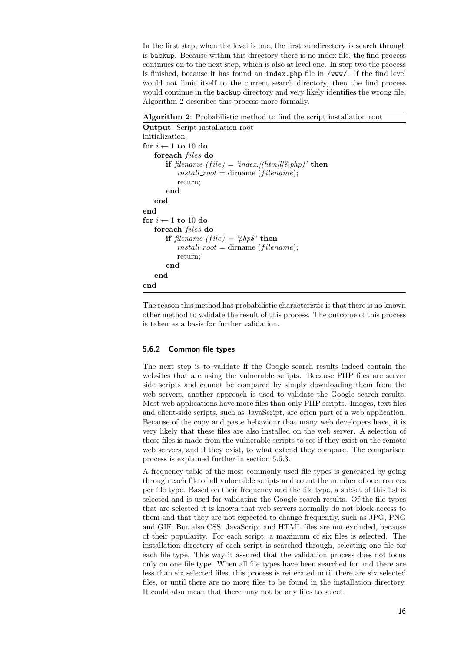In the first step, when the level is one, the first subdirectory is search through is backup. Because within this directory there is no index file, the find process continues on to the next step, which is also at level one. In step two the process is finished, because it has found an index.php file in /www/. If the find level would not limit itself to the current search directory, then the find process would continue in the backup directory and very likely identifies the wrong file. Algorithm 2 describes this process more formally.

Algorithm 2: Probabilistic method to find the script installation root

```
Output: Script installation root
initialization;
for i \leftarrow 1 to 10 do
   foreach files do
       if filename (file) = 'index.[(htm[l]?|php)' then
           install\_root = dirname (filename);
           return;
       end
   end
end
for i \leftarrow 1 to 10 do
   foreach files do
       if filename (file) = '\dot{p}hp\<sup>s</sup>' then
           install\_root = dirname (filename);
           return;
       end
   end
end
```
The reason this method has probabilistic characteristic is that there is no known other method to validate the result of this process. The outcome of this process is taken as a basis for further validation.

#### 5.6.2 Common file types

The next step is to validate if the Google search results indeed contain the websites that are using the vulnerable scripts. Because PHP files are server side scripts and cannot be compared by simply downloading them from the web servers, another approach is used to validate the Google search results. Most web applications have more files than only PHP scripts. Images, text files and client-side scripts, such as JavaScript, are often part of a web application. Because of the copy and paste behaviour that many web developers have, it is very likely that these files are also installed on the web server. A selection of these files is made from the vulnerable scripts to see if they exist on the remote web servers, and if they exist, to what extend they compare. The comparison process is explained further in section 5.6.3.

A frequency table of the most commonly used file types is generated by going through each file of all vulnerable scripts and count the number of occurrences per file type. Based on their frequency and the file type, a subset of this list is selected and is used for validating the Google search results. Of the file types that are selected it is known that web servers normally do not block access to them and that they are not expected to change frequently, such as JPG, PNG and GIF. But also CSS, JavaScript and HTML files are not excluded, because of their popularity. For each script, a maximum of six files is selected. The installation directory of each script is searched through, selecting one file for each file type. This way it assured that the validation process does not focus only on one file type. When all file types have been searched for and there are less than six selected files, this process is reiterated until there are six selected files, or until there are no more files to be found in the installation directory. It could also mean that there may not be any files to select.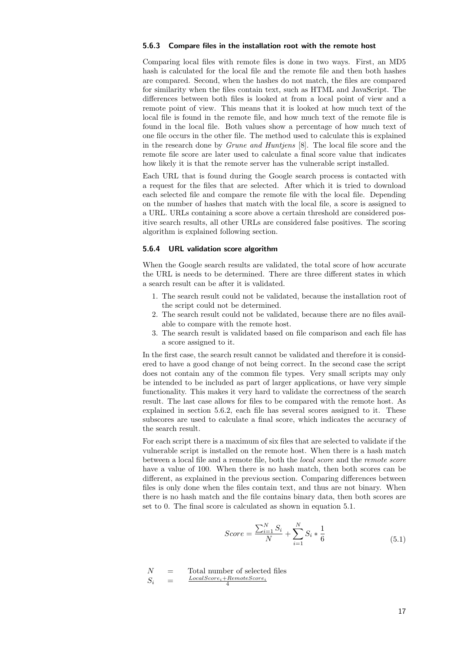#### 5.6.3 Compare files in the installation root with the remote host

Comparing local files with remote files is done in two ways. First, an MD5 hash is calculated for the local file and the remote file and then both hashes are compared. Second, when the hashes do not match, the files are compared for similarity when the files contain text, such as HTML and JavaScript. The differences between both files is looked at from a local point of view and a remote point of view. This means that it is looked at how much text of the local file is found in the remote file, and how much text of the remote file is found in the local file. Both values show a percentage of how much text of one file occurs in the other file. The method used to calculate this is explained in the research done by Grune and Huntjens [8]. The local file score and the remote file score are later used to calculate a final score value that indicates how likely it is that the remote server has the vulnerable script installed.

Each URL that is found during the Google search process is contacted with a request for the files that are selected. After which it is tried to download each selected file and compare the remote file with the local file. Depending on the number of hashes that match with the local file, a score is assigned to a URL. URLs containing a score above a certain threshold are considered positive search results, all other URLs are considered false positives. The scoring algorithm is explained following section.

#### 5.6.4 URL validation score algorithm

When the Google search results are validated, the total score of how accurate the URL is needs to be determined. There are three different states in which a search result can be after it is validated.

- 1. The search result could not be validated, because the installation root of the script could not be determined.
- 2. The search result could not be validated, because there are no files available to compare with the remote host.
- 3. The search result is validated based on file comparison and each file has a score assigned to it.

In the first case, the search result cannot be validated and therefore it is considered to have a good change of not being correct. In the second case the script does not contain any of the common file types. Very small scripts may only be intended to be included as part of larger applications, or have very simple functionality. This makes it very hard to validate the correctness of the search result. The last case allows for files to be compared with the remote host. As explained in section 5.6.2, each file has several scores assigned to it. These subscores are used to calculate a final score, which indicates the accuracy of the search result.

For each script there is a maximum of six files that are selected to validate if the vulnerable script is installed on the remote host. When there is a hash match between a local file and a remote file, both the local score and the remote score have a value of 100. When there is no hash match, then both scores can be different, as explained in the previous section. Comparing differences between files is only done when the files contain text, and thus are not binary. When there is no hash match and the file contains binary data, then both scores are set to 0. The final score is calculated as shown in equation 5.1.

$$
Score = \frac{\sum_{i=1}^{N} S_i}{N} + \sum_{i=1}^{N} S_i * \frac{1}{6}
$$
\n(5.1)

$$
\begin{array}{lcl} N & = & \textrm{Total number of selected files} \\ S_i & = & \frac{LocalScore_i + RemoteScore_i}{4} \end{array}
$$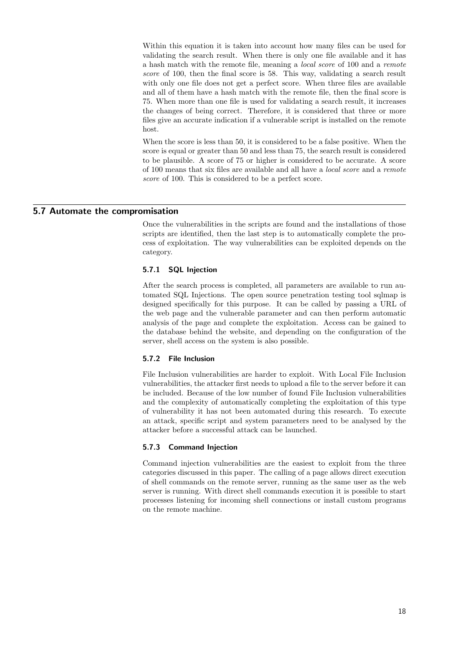Within this equation it is taken into account how many files can be used for validating the search result. When there is only one file available and it has a hash match with the remote file, meaning a local score of 100 and a remote score of 100, then the final score is 58. This way, validating a search result with only one file does not get a perfect score. When three files are available and all of them have a hash match with the remote file, then the final score is 75. When more than one file is used for validating a search result, it increases the changes of being correct. Therefore, it is considered that three or more files give an accurate indication if a vulnerable script is installed on the remote host.

When the score is less than 50, it is considered to be a false positive. When the score is equal or greater than 50 and less than 75, the search result is considered to be plausible. A score of 75 or higher is considered to be accurate. A score of 100 means that six files are available and all have a local score and a remote score of 100. This is considered to be a perfect score.

#### 5.7 Automate the compromisation

Once the vulnerabilities in the scripts are found and the installations of those scripts are identified, then the last step is to automatically complete the process of exploitation. The way vulnerabilities can be exploited depends on the category.

#### 5.7.1 SQL Injection

After the search process is completed, all parameters are available to run automated SQL Injections. The open source penetration testing tool sqlmap is designed specifically for this purpose. It can be called by passing a URL of the web page and the vulnerable parameter and can then perform automatic analysis of the page and complete the exploitation. Access can be gained to the database behind the website, and depending on the configuration of the server, shell access on the system is also possible.

#### 5.7.2 File Inclusion

File Inclusion vulnerabilities are harder to exploit. With Local File Inclusion vulnerabilities, the attacker first needs to upload a file to the server before it can be included. Because of the low number of found File Inclusion vulnerabilities and the complexity of automatically completing the exploitation of this type of vulnerability it has not been automated during this research. To execute an attack, specific script and system parameters need to be analysed by the attacker before a successful attack can be launched.

#### 5.7.3 Command Injection

Command injection vulnerabilities are the easiest to exploit from the three categories discussed in this paper. The calling of a page allows direct execution of shell commands on the remote server, running as the same user as the web server is running. With direct shell commands execution it is possible to start processes listening for incoming shell connections or install custom programs on the remote machine.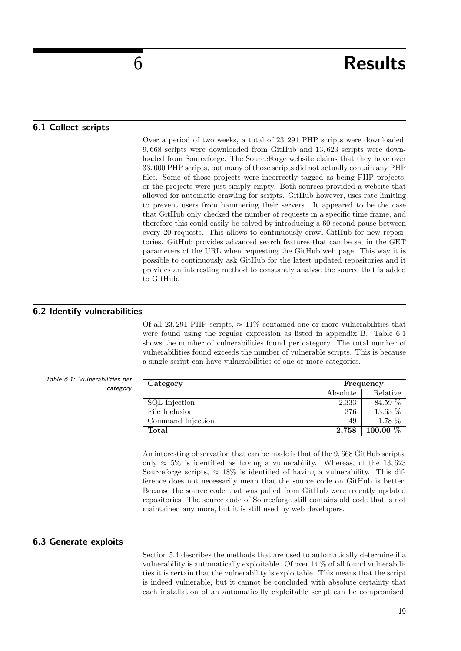### 6 Results

#### 6.1 Collect scripts

Over a period of two weeks, a total of 23, 291 PHP scripts were downloaded. 9, 668 scripts were downloaded from GitHub and 13, 623 scripts were downloaded from Sourceforge. The SourceForge website claims that they have over 33, 000 PHP scripts, but many of those scripts did not actually contain any PHP files. Some of those projects were incorrectly tagged as being PHP projects, or the projects were just simply empty. Both sources provided a website that allowed for automatic crawling for scripts. GitHub however, uses rate limiting to prevent users from hammering their servers. It appeared to be the case that GitHub only checked the number of requests in a specific time frame, and therefore this could easily be solved by introducing a 60 second pause between every 20 requests. This allows to continuously crawl GitHub for new repositories. GitHub provides advanced search features that can be set in the GET parameters of the URL when requesting the GitHub web page. This way it is possible to continuously ask GitHub for the latest updated repositories and it provides an interesting method to constantly analyse the source that is added to GitHub.

#### 6.2 Identify vulnerabilities

Of all 23, 291 PHP scripts,  $\approx 11\%$  contained one or more vulnerabilities that were found using the regular expression as listed in appendix B. Table 6.1 shows the number of vulnerabilities found per category. The total number of vulnerabilities found exceeds the number of vulnerable scripts. This is because a single script can have vulnerabilities of one or more categories.

#### Table 6.1: Vulnerabilities per category

| Category          |          | Frequency  |  |  |
|-------------------|----------|------------|--|--|
|                   | Absolute | Relative   |  |  |
| SQL Injection     | 2,333    | 84.59 %    |  |  |
| File Inclusion    | 376      | 13.63 %    |  |  |
| Command Injection | 49       | 1.78 %     |  |  |
| Total             | 2,758    | $100.00\%$ |  |  |

An interesting observation that can be made is that of the 9, 668 GitHub scripts, only  $\approx 5\%$  is identified as having a vulnerability. Whereas, of the 13,623 Sourceforge scripts,  $\approx 18\%$  is identified of having a vulnerability. This difference does not necessarily mean that the source code on GitHub is better. Because the source code that was pulled from GitHub were recently updated repositories. The source code of Sourceforge still contains old code that is not maintained any more, but it is still used by web developers.

#### 6.3 Generate exploits

Section 5.4 describes the methods that are used to automatically determine if a vulnerability is automatically exploitable. Of over 14 % of all found vulnerabilities it is certain that the vulnerability is exploitable. This means that the script is indeed vulnerable, but it cannot be concluded with absolute certainty that each installation of an automatically exploitable script can be compromised.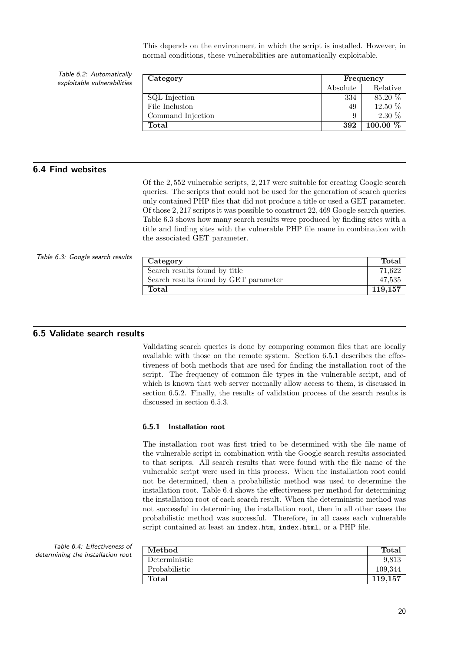This depends on the environment in which the script is installed. However, in normal conditions, these vulnerabilities are automatically exploitable.

Table 6.2: Automatically exploitable vulnerabilities

| Category          | Frequency |                         |  |
|-------------------|-----------|-------------------------|--|
|                   | Absolute  | Relative                |  |
| SQL Injection     | 334       | 85.20 %                 |  |
| File Inclusion    | 49        | 12.50 %                 |  |
| Command Injection | 9         | $2.30\%$                |  |
| Total             | 392       | $100.00\ \overline{\%}$ |  |

### 6.4 Find websites

Of the 2, 552 vulnerable scripts, 2, 217 were suitable for creating Google search queries. The scripts that could not be used for the generation of search queries only contained PHP files that did not produce a title or used a GET parameter. Of those 2, 217 scripts it was possible to construct 22, 469 Google search queries. Table 6.3 shows how many search results were produced by finding sites with a title and finding sites with the vulnerable PHP file name in combination with the associated GET parameter.

#### Table 6.3: Google search results

| Category                              | Total   |
|---------------------------------------|---------|
| Search results found by title         | 71,622  |
| Search results found by GET parameter | 47,535  |
| Total                                 | 119,157 |

#### 6.5 Validate search results

Validating search queries is done by comparing common files that are locally available with those on the remote system. Section 6.5.1 describes the effectiveness of both methods that are used for finding the installation root of the script. The frequency of common file types in the vulnerable script, and of which is known that web server normally allow access to them, is discussed in section 6.5.2. Finally, the results of validation process of the search results is discussed in section 6.5.3.

#### 6.5.1 Installation root

The installation root was first tried to be determined with the file name of the vulnerable script in combination with the Google search results associated to that scripts. All search results that were found with the file name of the vulnerable script were used in this process. When the installation root could not be determined, then a probabilistic method was used to determine the installation root. Table 6.4 shows the effectiveness per method for determining the installation root of each search result. When the deterministic method was not successful in determining the installation root, then in all other cases the probabilistic method was successful. Therefore, in all cases each vulnerable script contained at least an index.htm, index.html, or a PHP file.

Table 6.4: Effectiveness of determining the installation root

| Method        | Total   |
|---------------|---------|
| Deterministic | 9.813   |
| Probabilistic | 109,344 |
| Total         | 119.157 |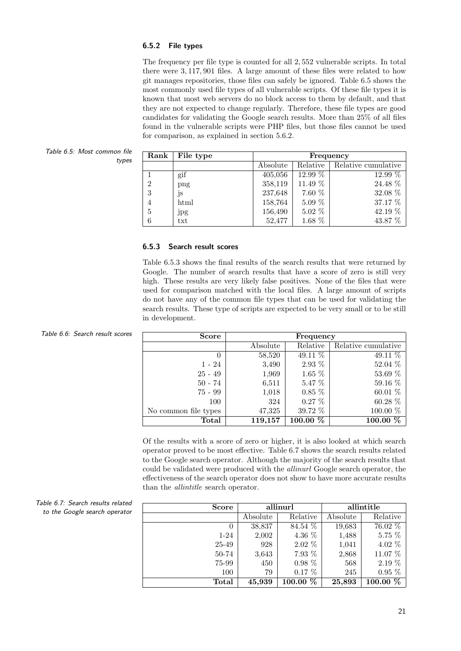#### 6.5.2 File types

The frequency per file type is counted for all 2, 552 vulnerable scripts. In total there were 3, 117, 901 files. A large amount of these files were related to how git manages repositories, those files can safely be ignored. Table 6.5 shows the most commonly used file types of all vulnerable scripts. Of these file types it is known that most web servers do no block access to them by default, and that they are not expected to change regularly. Therefore, these file types are good candidates for validating the Google search results. More than 25% of all files found in the vulnerable scripts were PHP files, but those files cannot be used for comparison, as explained in section 5.6.2.

Table 6.5: Most common file types

| $\rm{Rank}$    | File type | Frequency |          |                        |  |
|----------------|-----------|-----------|----------|------------------------|--|
|                |           | Absolute  | Relative | Relative cumulative    |  |
|                | gif       | 405,056   | 12.99 %  | $12.99\ \overline{\%}$ |  |
| $\overline{2}$ | png       | 358,119   | 11.49 %  | 24.48 %                |  |
| 3              | js        | 237,648   | 7.60 %   | 32.08 %                |  |
| $\overline{4}$ | html      | 158,764   | $5.09\%$ | 37.17 %                |  |
| $5\,$          | jpg       | 156,490   | $5.02\%$ | 42.19 %                |  |
| 6              | txt       | 52,477    | 1.68 %   | 43.87 %                |  |

#### 6.5.3 Search result scores

Table 6.5.3 shows the final results of the search results that were returned by Google. The number of search results that have a score of zero is still very high. These results are very likely false positives. None of the files that were used for comparison matched with the local files. A large amount of scripts do not have any of the common file types that can be used for validating the search results. These type of scripts are expected to be very small or to be still in development.

| Table 6.6: Search result scores | Score                | Frequency |           |                     |
|---------------------------------|----------------------|-----------|-----------|---------------------|
|                                 |                      | Absolute  | Relative  | Relative cumulative |
|                                 | $\theta$             | 58,520    | 49.11 %   | 49.11 %             |
|                                 | $1 - 24$             | 3,490     | $2.93\%$  | 52.04 %             |
|                                 | $25 - 49$            | 1,969     | $1.65\%$  | 53.69 %             |
|                                 | $50 - 74$            | 6,511     | $5.47\%$  | $59.16\%$           |
|                                 | $75 - 99$            | 1,018     | $0.85\%$  | 60.01 %             |
|                                 | 100                  | 324       | $0.27\%$  | 60.28 %             |
|                                 | No common file types | 47,325    | $39.72\%$ | 100.00 %            |
|                                 | Total                | 119,157   | 100.00 %  | $100.00\%$          |

Of the results with a score of zero or higher, it is also looked at which search operator proved to be most effective. Table 6.7 shows the search results related to the Google search operator. Although the majority of the search results that could be validated were produced with the allinurl Google search operator, the effectiveness of the search operator does not show to have more accurate results than the allintitle search operator.

| <b>Score</b> | allinurl |                       | allintitle |                        |
|--------------|----------|-----------------------|------------|------------------------|
|              | Absolute | Relative              | Absolute   | Relative               |
| 0            | 38,837   | 84.54 $\overline{\%}$ | 19,683     | $76.02\ \overline{\%}$ |
| $1 - 24$     | 2,002    | 4.36 %                | 1,488      | 5.75 %                 |
| 25-49        | 928      | $2.02\%$              | 1,041      | 4.02 %                 |
| 50-74        | 3,643    | 7.93 %                | 2,868      | 11.07 %                |
| 75-99        | 450      | $0.98\%$              | 568        | $2.19\%$               |
| 100          | 79       | $0.17\%$              | 245        | $0.95\%$               |
| Total        | 45,939   | $100.00\%$            | 25,893     | $100.00\%$             |

Table 6.7: Search results related to the Google search operator

|  | Table 6.6: Search result score |  |
|--|--------------------------------|--|
|  |                                |  |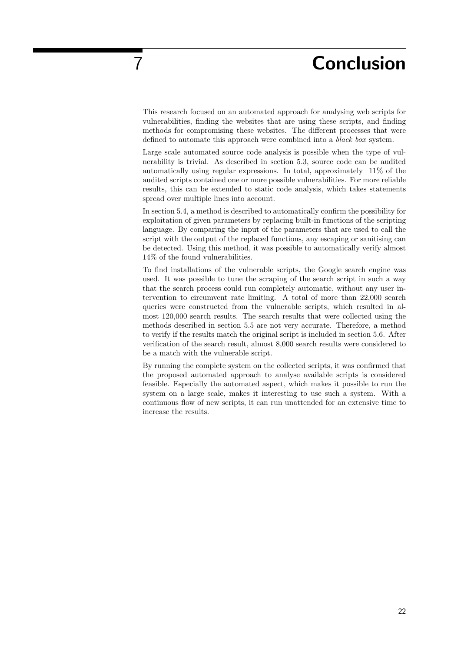## 7 Conclusion

This research focused on an automated approach for analysing web scripts for vulnerabilities, finding the websites that are using these scripts, and finding methods for compromising these websites. The different processes that were defined to automate this approach were combined into a black box system.

Large scale automated source code analysis is possible when the type of vulnerability is trivial. As described in section 5.3, source code can be audited automatically using regular expressions. In total, approximately 11% of the audited scripts contained one or more possible vulnerabilities. For more reliable results, this can be extended to static code analysis, which takes statements spread over multiple lines into account.

In section 5.4, a method is described to automatically confirm the possibility for exploitation of given parameters by replacing built-in functions of the scripting language. By comparing the input of the parameters that are used to call the script with the output of the replaced functions, any escaping or sanitising can be detected. Using this method, it was possible to automatically verify almost 14% of the found vulnerabilities.

To find installations of the vulnerable scripts, the Google search engine was used. It was possible to tune the scraping of the search script in such a way that the search process could run completely automatic, without any user intervention to circumvent rate limiting. A total of more than 22,000 search queries were constructed from the vulnerable scripts, which resulted in almost 120,000 search results. The search results that were collected using the methods described in section 5.5 are not very accurate. Therefore, a method to verify if the results match the original script is included in section 5.6. After verification of the search result, almost 8,000 search results were considered to be a match with the vulnerable script.

By running the complete system on the collected scripts, it was confirmed that the proposed automated approach to analyse available scripts is considered feasible. Especially the automated aspect, which makes it possible to run the system on a large scale, makes it interesting to use such a system. With a continuous flow of new scripts, it can run unattended for an extensive time to increase the results.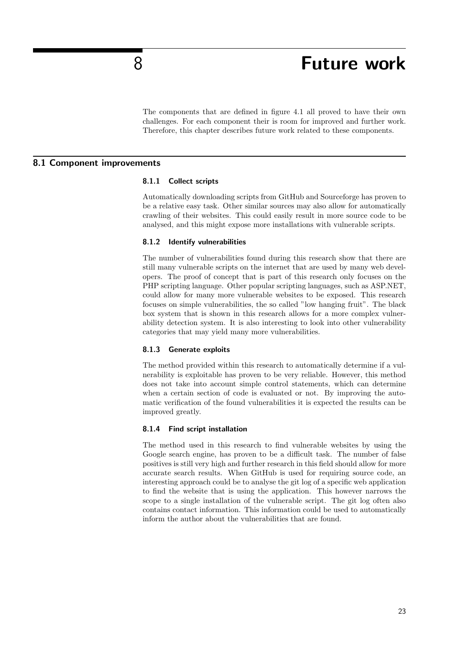### 8 **Future work**

The components that are defined in figure 4.1 all proved to have their own challenges. For each component their is room for improved and further work. Therefore, this chapter describes future work related to these components.

#### 8.1 Component improvements

#### 8.1.1 Collect scripts

Automatically downloading scripts from GitHub and Sourceforge has proven to be a relative easy task. Other similar sources may also allow for automatically crawling of their websites. This could easily result in more source code to be analysed, and this might expose more installations with vulnerable scripts.

#### 8.1.2 Identify vulnerabilities

The number of vulnerabilities found during this research show that there are still many vulnerable scripts on the internet that are used by many web developers. The proof of concept that is part of this research only focuses on the PHP scripting language. Other popular scripting languages, such as ASP.NET, could allow for many more vulnerable websites to be exposed. This research focuses on simple vulnerabilities, the so called "low hanging fruit". The black box system that is shown in this research allows for a more complex vulnerability detection system. It is also interesting to look into other vulnerability categories that may yield many more vulnerabilities.

#### 8.1.3 Generate exploits

The method provided within this research to automatically determine if a vulnerability is exploitable has proven to be very reliable. However, this method does not take into account simple control statements, which can determine when a certain section of code is evaluated or not. By improving the automatic verification of the found vulnerabilities it is expected the results can be improved greatly.

#### 8.1.4 Find script installation

The method used in this research to find vulnerable websites by using the Google search engine, has proven to be a difficult task. The number of false positives is still very high and further research in this field should allow for more accurate search results. When GitHub is used for requiring source code, an interesting approach could be to analyse the git log of a specific web application to find the website that is using the application. This however narrows the scope to a single installation of the vulnerable script. The git log often also contains contact information. This information could be used to automatically inform the author about the vulnerabilities that are found.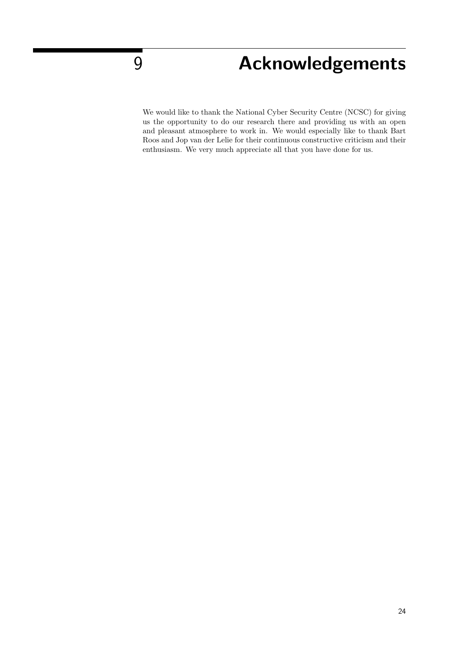# $\overline{9}$  Acknowledgements

We would like to thank the National Cyber Security Centre (NCSC) for giving us the opportunity to do our research there and providing us with an open and pleasant atmosphere to work in. We would especially like to thank Bart Roos and Jop van der Lelie for their continuous constructive criticism and their enthusiasm. We very much appreciate all that you have done for us.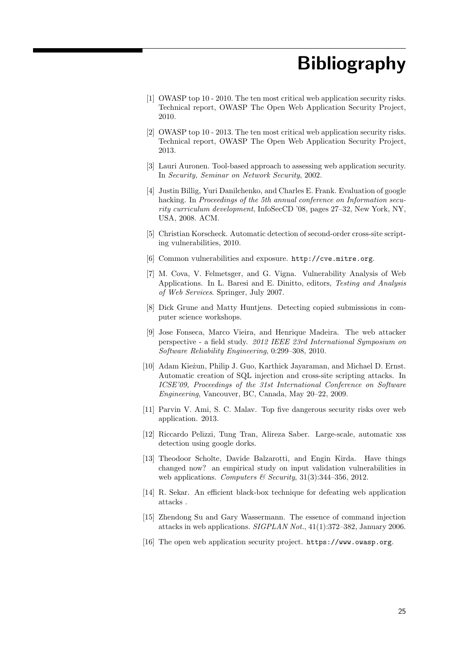# Bibliography

- [1] OWASP top 10 2010. The ten most critical web application security risks. Technical report, OWASP The Open Web Application Security Project, 2010.
- [2] OWASP top 10 2013. The ten most critical web application security risks. Technical report, OWASP The Open Web Application Security Project, 2013.
- [3] Lauri Auronen. Tool-based approach to assessing web application security. In Security, Seminar on Network Security, 2002.
- [4] Justin Billig, Yuri Danilchenko, and Charles E. Frank. Evaluation of google hacking. In Proceedings of the 5th annual conference on Information security curriculum development, InfoSecCD '08, pages 27–32, New York, NY, USA, 2008. ACM.
- [5] Christian Korscheck. Automatic detection of second-order cross-site scripting vulnerabilities, 2010.
- [6] Common vulnerabilities and exposure. http://cve.mitre.org.
- [7] M. Cova, V. Felmetsger, and G. Vigna. Vulnerability Analysis of Web Applications. In L. Baresi and E. Dinitto, editors, Testing and Analysis of Web Services. Springer, July 2007.
- [8] Dick Grune and Matty Huntjens. Detecting copied submissions in computer science workshops.
- [9] Jose Fonseca, Marco Vieira, and Henrique Madeira. The web attacker perspective - a field study. 2012 IEEE 23rd International Symposium on Software Reliability Engineering, 0:299–308, 2010.
- [10] Adam Kieżun, Philip J. Guo, Karthick Jayaraman, and Michael D. Ernst. Automatic creation of SQL injection and cross-site scripting attacks. In ICSE'09, Proceedings of the 31st International Conference on Software Engineering, Vancouver, BC, Canada, May 20–22, 2009.
- [11] Parvin V. Ami, S. C. Malav. Top five dangerous security risks over web application. 2013.
- [12] Riccardo Pelizzi, Tung Tran, Alireza Saber. Large-scale, automatic xss detection using google dorks.
- [13] Theodoor Scholte, Davide Balzarotti, and Engin Kirda. Have things changed now? an empirical study on input validation vulnerabilities in web applications. Computers & Security,  $31(3):344-356$ ,  $2012$ .
- [14] R. Sekar. An efficient black-box technique for defeating web application attacks .
- [15] Zhendong Su and Gary Wassermann. The essence of command injection attacks in web applications. SIGPLAN Not., 41(1):372–382, January 2006.
- [16] The open web application security project. https://www.owasp.org.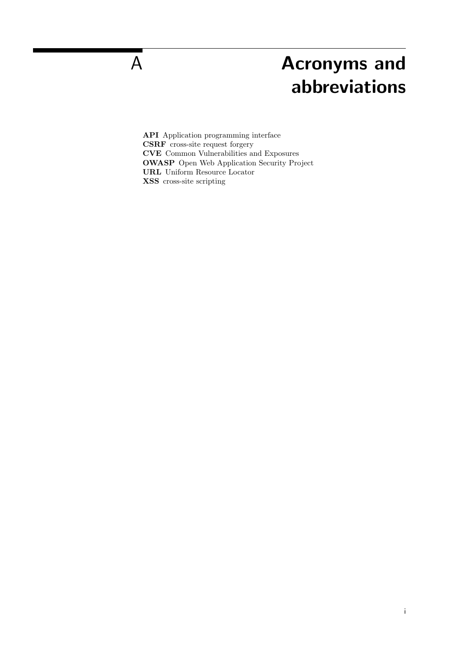# A **Acronyms and** abbreviations

API Application programming interface CSRF cross-site request forgery CVE Common Vulnerabilities and Exposures OWASP Open Web Application Security Project URL Uniform Resource Locator XSS cross-site scripting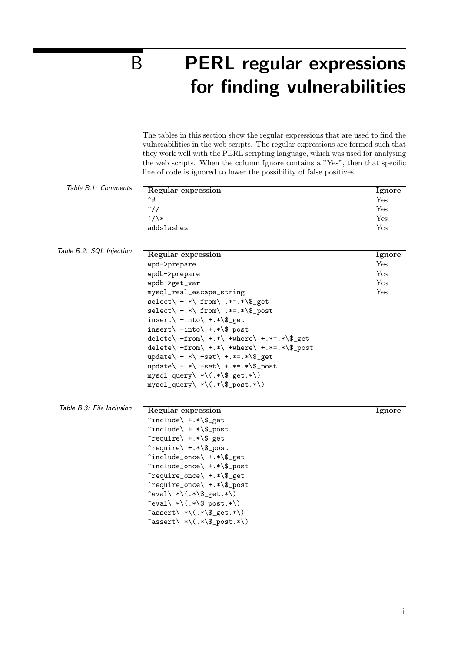# B PERL regular expressions for finding vulnerabilities

The tables in this section show the regular expressions that are used to find the vulnerabilities in the web scripts. The regular expressions are formed such that they work well with the PERL scripting language, which was used for analysing the web scripts. When the column Ignore contains a "Yes", then that specific line of code is ignored to lower the possibility of false positives.

Table B.1: Comments

| Regular expression | <b>Ignore</b>        |
|--------------------|----------------------|
| ^#                 | Yes                  |
| $\sim$ //          | $\operatorname{Yes}$ |
| $\hat{U}$          | Yes                  |
| addslashes         | Yes                  |

Table B.2: SQL Injection

| Regular expression                                             | Ignore |
|----------------------------------------------------------------|--------|
| wpd->prepare                                                   | Yes    |
| wpdb->prepare                                                  | Yes    |
| wpdb->get_var                                                  | Yes    |
| mysql_real_escape_string                                       | Yes    |
| $select \ +.* \ for \ m \ .*=.* \$ get                         |        |
| $select\$ +.*\ from\ .*=.*\\$_post                             |        |
| $insert\\ + into\\ +.*\\$                                      |        |
| $insert\\ + into\\ +.*\\$                                      |        |
| delete\ +from\ +.*\ +where\ +.*=.*\\$_get                      |        |
| delete\ +from\ +.*\ +where\ +.*=.*\\$_post                     |        |
| update\ +.*\ +set\ +.*=.*\\$_get                               |        |
| update\ $+:$ $\ast$ \ $+$ set\ $+$ . $\ast$ =. $\ast$ \\$ post |        |
| $mysql_query\ \ * \ (.*\$ _get.*\                              |        |
| mysql_query\ *\(.*\\$_post.*\)                                 |        |

| Table B.3: File Inclusion | Regular expression                                                     | <b>Ignore</b> |
|---------------------------|------------------------------------------------------------------------|---------------|
|                           | $\hat{\ }$ include\ +.*\\$_get                                         |               |
|                           | $\hat{\ }$ include\ +.*\\$_post                                        |               |
|                           | $\text{`require}\\ +.*\\ \text{`gget}$                                 |               |
|                           | $\text{`require}\$ +.*\\$_post                                         |               |
|                           | ^include_once\ +.*\\$_get                                              |               |
|                           | ^include_once\ +.*\\$_post                                             |               |
|                           | ^require_once\ +.*\\$_get                                              |               |
|                           | ^require_once\ +.*\\$_post                                             |               |
|                           | $\text{eval} \times \(\cdot \times \mathcal{I}_{\text{get}} \times \)$ |               |
|                           | $\text{eval} \times \(\cdot \times \text{Ipost.*})$                    |               |
|                           | $\text{`assert}\$ *\(.*\\$_get.*\)                                     |               |
|                           | $\text{`assert}\$ *\(.*\\$_post.*\)                                    |               |